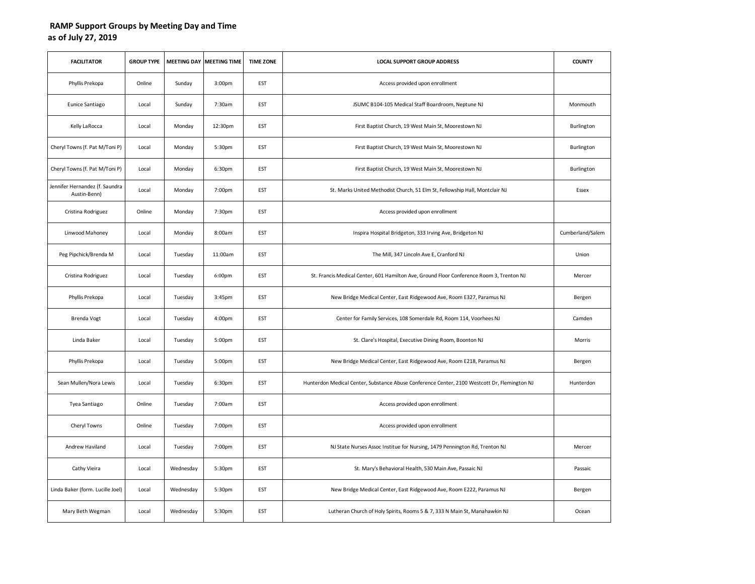## **RAMP Support Groups by Meeting Day and Time as of July 27, 2019**

| <b>FACILITATOR</b>                             | <b>GROUP TYPE</b> |           | MEETING DAY MEETING TIME | <b>TIME ZONE</b> | <b>LOCAL SUPPORT GROUP ADDRESS</b>                                                           | <b>COUNTY</b>    |
|------------------------------------------------|-------------------|-----------|--------------------------|------------------|----------------------------------------------------------------------------------------------|------------------|
| Phyllis Prekopa                                | Online            | Sunday    | 3:00 <sub>pm</sub>       | <b>EST</b>       | Access provided upon enrollment                                                              |                  |
| Eunice Santiago                                | Local             | Sunday    | 7:30am                   | EST              | JSUMC B104-105 Medical Staff Boardroom, Neptune NJ                                           | Monmouth         |
| Kelly LaRocca                                  | Local             | Monday    | 12:30pm                  | <b>EST</b>       | First Baptist Church, 19 West Main St, Moorestown NJ                                         | Burlington       |
| Cheryl Towns (f. Pat M/Toni P)                 | Local             | Monday    | 5:30pm                   | <b>EST</b>       | First Baptist Church, 19 West Main St, Moorestown NJ                                         | Burlington       |
| Cheryl Towns (f. Pat M/Toni P)                 | Local             | Monday    | 6:30pm                   | <b>EST</b>       | First Baptist Church, 19 West Main St, Moorestown NJ                                         | Burlington       |
| Jennifer Hernandez (f. Saundra<br>Austin-Benn) | Local             | Monday    | 7:00pm                   | <b>EST</b>       | St. Marks United Methodist Church, 51 Elm St, Fellowship Hall, Montclair NJ                  | Essex            |
| Cristina Rodriguez                             | Online            | Monday    | 7:30pm                   | EST              | Access provided upon enrollment                                                              |                  |
| Linwood Mahoney                                | Local             | Monday    | 8:00am                   | <b>EST</b>       | Inspira Hospital Bridgeton, 333 Irving Ave, Bridgeton NJ                                     | Cumberland/Salem |
| Peg Pipchick/Brenda M                          | Local             | Tuesday   | 11:00am                  | EST              | The Mill, 347 Lincoln Ave E, Cranford NJ                                                     | Union            |
| Cristina Rodriguez                             | Local             | Tuesday   | 6:00pm                   | EST              | St. Francis Medical Center, 601 Hamilton Ave, Ground Floor Conference Room 3, Trenton NJ     | Mercer           |
| Phyllis Prekopa                                | Local             | Tuesday   | 3:45pm                   | <b>EST</b>       | New Bridge Medical Center, East Ridgewood Ave, Room E327, Paramus NJ                         | Bergen           |
| Brenda Vogt                                    | Local             | Tuesday   | 4:00pm                   | EST              | Center for Family Services, 108 Somerdale Rd, Room 114, Voorhees NJ                          | Camden           |
| Linda Baker                                    | Local             | Tuesday   | 5:00pm                   | <b>EST</b>       | St. Clare's Hospital, Executive Dining Room, Boonton NJ                                      | Morris           |
| Phyllis Prekopa                                | Local             | Tuesday   | 5:00pm                   | <b>EST</b>       | New Bridge Medical Center, East Ridgewood Ave, Room E218, Paramus NJ                         | Bergen           |
| Sean Mullen/Nora Lewis                         | Local             | Tuesday   | 6:30pm                   | EST              | Hunterdon Medical Center, Substance Abuse Conference Center, 2100 Westcott Dr, Flemington NJ | Hunterdon        |
| Tyea Santiago                                  | Online            | Tuesday   | 7:00am                   | <b>EST</b>       | Access provided upon enrollment                                                              |                  |
| Cheryl Towns                                   | Online            | Tuesday   | 7:00pm                   | EST              | Access provided upon enrollment                                                              |                  |
| Andrew Haviland                                | Local             | Tuesday   | 7:00pm                   | <b>EST</b>       | NJ State Nurses Assoc Institue for Nursing, 1479 Pennington Rd, Trenton NJ                   | Mercer           |
| Cathy Vieira                                   | Local             | Wednesday | 5:30pm                   | EST              | St. Mary's Behavioral Health, 530 Main Ave, Passaic NJ                                       | Passaic          |
| Linda Baker (form. Lucille Joel)               | Local             | Wednesday | 5:30pm                   | EST              | New Bridge Medical Center, East Ridgewood Ave, Room E222, Paramus NJ                         | Bergen           |
| Mary Beth Wegman                               | Local             | Wednesday | 5:30pm                   | <b>EST</b>       | Lutheran Church of Holy Spirits, Rooms 5 & 7, 333 N Main St, Manahawkin NJ                   | Ocean            |